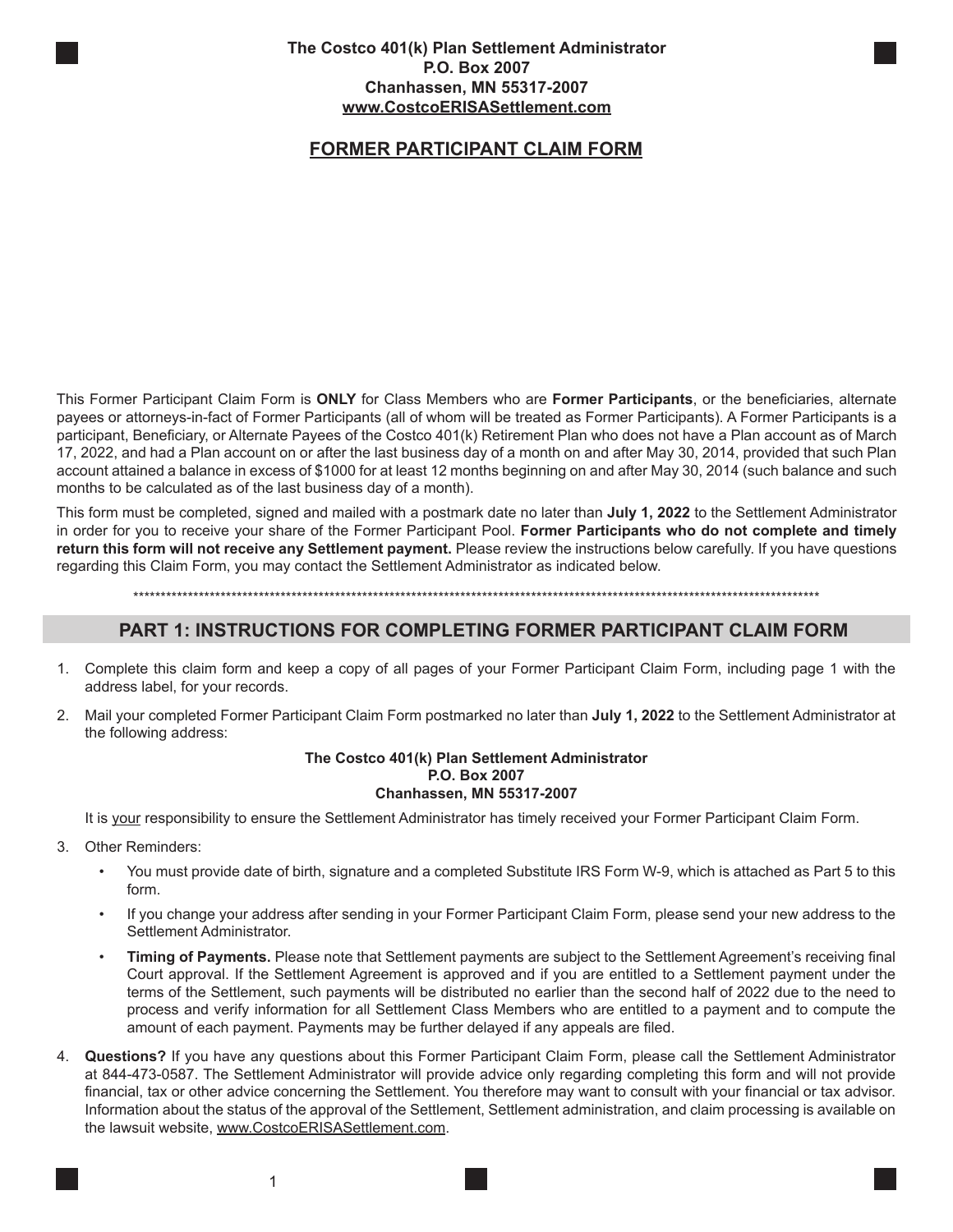# **FORMER PARTICIPANT CLAIM FORM**

This Former Participant Claim Form is **ONLY** for Class Members who are **Former Participants**, or the beneficiaries, alternate payees or attorneys-in-fact of Former Participants (all of whom will be treated as Former Participants). A Former Participants is a participant, Beneficiary, or Alternate Payees of the Costco 401(k) Retirement Plan who does not have a Plan account as of March 17, 2022, and had a Plan account on or after the last business day of a month on and after May 30, 2014, provided that such Plan account attained a balance in excess of \$1000 for at least 12 months beginning on and after May 30, 2014 (such balance and such months to be calculated as of the last business day of a month).

This form must be completed, signed and mailed with a postmark date no later than **July 1, 2022** to the Settlement Administrator in order for you to receive your share of the Former Participant Pool. **Former Participants who do not complete and timely return this form will not receive any Settlement payment.** Please review the instructions below carefully. If you have questions regarding this Claim Form, you may contact the Settlement Administrator as indicated below.

\*\*\*\*\*\*\*\*\*\*\*\*\*\*\*\*\*\*\*\*\*\*\*\*\*\*\*\*\*\*\*\*\*\*\*\*\*\*\*\*\*\*\*\*\*\*\*\*\*\*\*\*\*\*\*\*\*\*\*\*\*\*\*\*\*\*\*\*\*\*\*\*\*\*\*\*\*\*\*\*\*\*\*\*\*\*\*\*\*\*\*\*\*\*\*\*\*\*\*\*\*\*\*\*\*\*\*\*\*\*\*\*\*\*\*\*\*\*\*\*\*\*\*\*\*\*

### **PART 1: INSTRUCTIONS FOR COMPLETING FORMER PARTICIPANT CLAIM FORM**

- 1. Complete this claim form and keep a copy of all pages of your Former Participant Claim Form, including page 1 with the address label, for your records.
- 2. Mail your completed Former Participant Claim Form postmarked no later than **July 1, 2022** to the Settlement Administrator at the following address:

#### **The Costco 401(k) Plan Settlement Administrator P.O. Box 2007 Chanhassen, MN 55317-2007**

It is your responsibility to ensure the Settlement Administrator has timely received your Former Participant Claim Form.

- 3. Other Reminders:
	- You must provide date of birth, signature and a completed Substitute IRS Form W-9, which is attached as Part 5 to this form.
	- If you change your address after sending in your Former Participant Claim Form, please send your new address to the Settlement Administrator.
	- **Timing of Payments.** Please note that Settlement payments are subject to the Settlement Agreement's receiving final Court approval. If the Settlement Agreement is approved and if you are entitled to a Settlement payment under the terms of the Settlement, such payments will be distributed no earlier than the second half of 2022 due to the need to process and verify information for all Settlement Class Members who are entitled to a payment and to compute the amount of each payment. Payments may be further delayed if any appeals are filed.
- 4. **Questions?** If you have any questions about this Former Participant Claim Form, please call the Settlement Administrator at 844-473-0587. The Settlement Administrator will provide advice only regarding completing this form and will not provide financial, tax or other advice concerning the Settlement. You therefore may want to consult with your financial or tax advisor. Information about the status of the approval of the Settlement, Settlement administration, and claim processing is available on the lawsuit website, www.CostcoERISASettlement.com.

1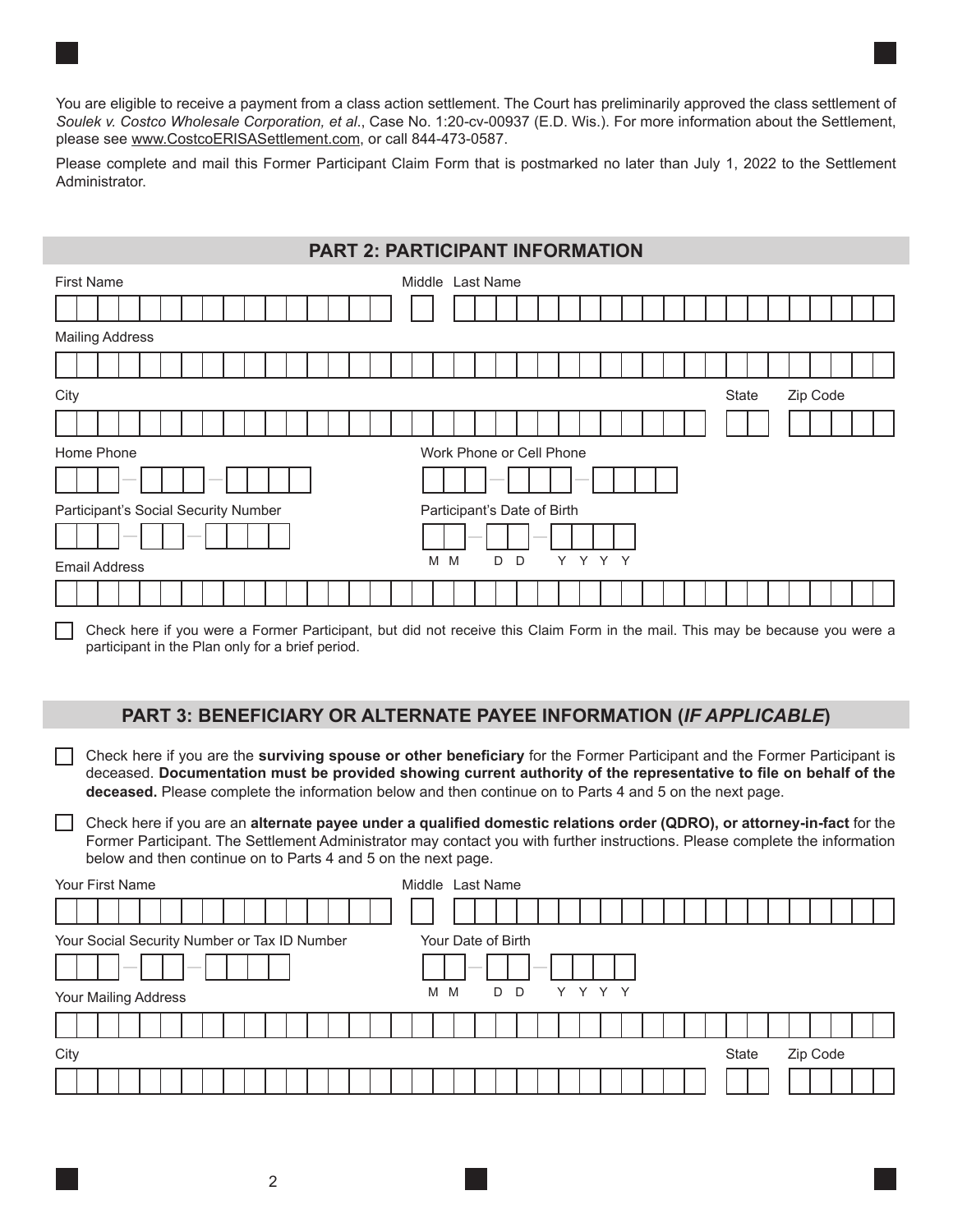You are eligible to receive a payment from a class action settlement. The Court has preliminarily approved the class settlement of *Soulek v. Costco Wholesale Corporation, et al*., Case No. 1:20-cv-00937 (E.D. Wis.). For more information about the Settlement, please see www.CostcoERISASettlement.com, or call 844-473-0587.

Please complete and mail this Former Participant Claim Form that is postmarked no later than July 1, 2022 to the Settlement Administrator.

# **PART 2: PARTICIPANT INFORMATION**

| <b>First Name</b>                    | Middle Last Name            |
|--------------------------------------|-----------------------------|
|                                      |                             |
| <b>Mailing Address</b>               |                             |
|                                      |                             |
| City                                 | Zip Code<br>State           |
|                                      |                             |
| Home Phone                           | Work Phone or Cell Phone    |
|                                      |                             |
| Participant's Social Security Number | Participant's Date of Birth |
|                                      |                             |
| <b>Email Address</b>                 | M<br>Y Y Y Y<br>M<br>D<br>D |
|                                      |                             |

Check here if you were a Former Participant, but did not receive this Claim Form in the mail. This may be because you were a participant in the Plan only for a brief period.

#### **PART 3: BENEFICIARY OR ALTERNATE PAYEE INFORMATION (***IF APPLICABLE***)**

Check here if you are the **surviving spouse or other beneficiary** for the Former Participant and the Former Participant is deceased. **Documentation must be provided showing current authority of the representative to file on behalf of the deceased.** Please complete the information below and then continue on to Parts 4 and 5 on the next page.

Check here if you are an **alternate payee under a qualified domestic relations order (QDRO), or attorney-in-fact** for the Former Participant. The Settlement Administrator may contact you with further instructions. Please complete the information below and then continue on to Parts 4 and 5 on the next page.

| Your First Name                                                                                                                                                                                                                                                                                                                                                                                                                                                            | Middle Last Name                                                                                                                                                                                                                                                                                                                                                                                                                                                           |          |
|----------------------------------------------------------------------------------------------------------------------------------------------------------------------------------------------------------------------------------------------------------------------------------------------------------------------------------------------------------------------------------------------------------------------------------------------------------------------------|----------------------------------------------------------------------------------------------------------------------------------------------------------------------------------------------------------------------------------------------------------------------------------------------------------------------------------------------------------------------------------------------------------------------------------------------------------------------------|----------|
|                                                                                                                                                                                                                                                                                                                                                                                                                                                                            |                                                                                                                                                                                                                                                                                                                                                                                                                                                                            |          |
| Your Social Security Number or Tax ID Number                                                                                                                                                                                                                                                                                                                                                                                                                               | Your Date of Birth                                                                                                                                                                                                                                                                                                                                                                                                                                                         |          |
| $\frac{1}{2} \left( \frac{1}{2} \right) \left( \frac{1}{2} \right) \left( \frac{1}{2} \right) \left( \frac{1}{2} \right) \left( \frac{1}{2} \right) \left( \frac{1}{2} \right) \left( \frac{1}{2} \right) \left( \frac{1}{2} \right) \left( \frac{1}{2} \right) \left( \frac{1}{2} \right) \left( \frac{1}{2} \right) \left( \frac{1}{2} \right) \left( \frac{1}{2} \right) \left( \frac{1}{2} \right) \left( \frac{1}{2} \right) \left( \frac{1}{2} \right) \left( \frac$ | $\frac{1}{2} \left( \frac{1}{2} \right) \left( \frac{1}{2} \right) \left( \frac{1}{2} \right) \left( \frac{1}{2} \right) \left( \frac{1}{2} \right) \left( \frac{1}{2} \right) \left( \frac{1}{2} \right) \left( \frac{1}{2} \right) \left( \frac{1}{2} \right) \left( \frac{1}{2} \right) \left( \frac{1}{2} \right) \left( \frac{1}{2} \right) \left( \frac{1}{2} \right) \left( \frac{1}{2} \right) \left( \frac{1}{2} \right) \left( \frac{1}{2} \right) \left( \frac$ |          |
| Your Mailing Address                                                                                                                                                                                                                                                                                                                                                                                                                                                       | D D<br>Y Y Y Y<br>M M                                                                                                                                                                                                                                                                                                                                                                                                                                                      |          |
|                                                                                                                                                                                                                                                                                                                                                                                                                                                                            |                                                                                                                                                                                                                                                                                                                                                                                                                                                                            |          |
| City                                                                                                                                                                                                                                                                                                                                                                                                                                                                       | State                                                                                                                                                                                                                                                                                                                                                                                                                                                                      | Zip Code |
|                                                                                                                                                                                                                                                                                                                                                                                                                                                                            |                                                                                                                                                                                                                                                                                                                                                                                                                                                                            |          |

2